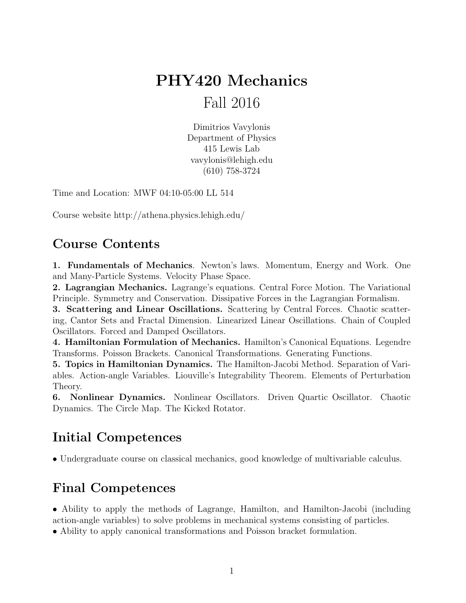# PHY420 Mechanics Fall 2016

Dimitrios Vavylonis Department of Physics 415 Lewis Lab vavylonis@lehigh.edu (610) 758-3724

Time and Location: MWF 04:10-05:00 LL 514

Course website http://athena.physics.lehigh.edu/

#### Course Contents

1. Fundamentals of Mechanics. Newton's laws. Momentum, Energy and Work. One and Many-Particle Systems. Velocity Phase Space.

2. Lagrangian Mechanics. Lagrange's equations. Central Force Motion. The Variational Principle. Symmetry and Conservation. Dissipative Forces in the Lagrangian Formalism.

3. Scattering and Linear Oscillations. Scattering by Central Forces. Chaotic scattering, Cantor Sets and Fractal Dimension. Linearized Linear Oscillations. Chain of Coupled Oscillators. Forced and Damped Oscillators.

4. Hamiltonian Formulation of Mechanics. Hamilton's Canonical Equations. Legendre Transforms. Poisson Brackets. Canonical Transformations. Generating Functions.

5. Topics in Hamiltonian Dynamics. The Hamilton-Jacobi Method. Separation of Variables. Action-angle Variables. Liouville's Integrability Theorem. Elements of Perturbation Theory.

6. Nonlinear Dynamics. Nonlinear Oscillators. Driven Quartic Oscillator. Chaotic Dynamics. The Circle Map. The Kicked Rotator.

#### Initial Competences

• Undergraduate course on classical mechanics, good knowledge of multivariable calculus.

### Final Competences

• Ability to apply the methods of Lagrange, Hamilton, and Hamilton-Jacobi (including action-angle variables) to solve problems in mechanical systems consisting of particles.

• Ability to apply canonical transformations and Poisson bracket formulation.